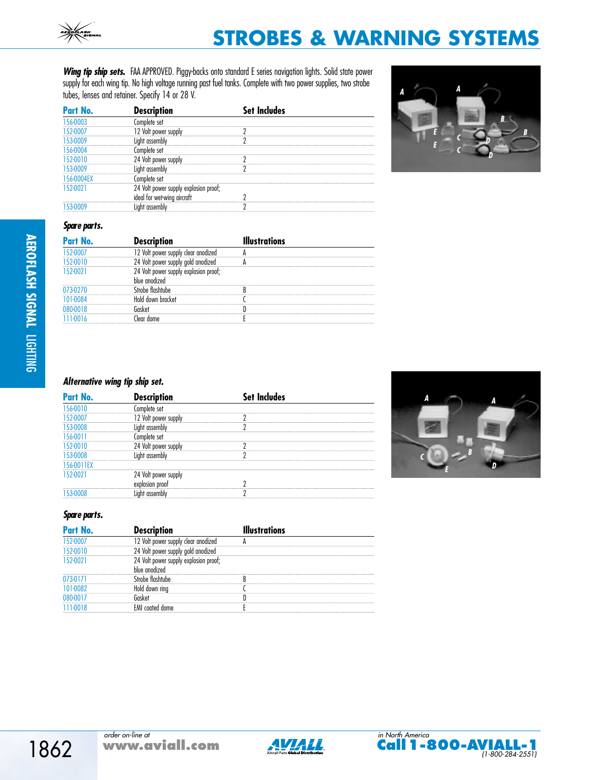Wing tip ship sets. FAA APPROVED. Piggy-backs onto standard E series navigation lights. Solid state power supply for each wing tip. No high voltage running past fuel tanks. Complete with two power supplies, two strobe tubes, lenses and retainer. Specify 14 or 28 V.

| Part No. | ntion                         | ndes |
|----------|-------------------------------|------|
|          |                               |      |
|          |                               |      |
|          |                               |      |
|          |                               |      |
|          |                               |      |
|          |                               |      |
|          |                               |      |
|          | 24<br>Volt<br>explosion proof |      |
|          |                               |      |
|          |                               |      |



#### **Spare parts.**

| Part No. | <b>escription</b> | ations |
|----------|-------------------|--------|
|          |                   |        |
|          |                   |        |
|          | proof:            |        |
|          |                   |        |
|          |                   |        |
|          |                   |        |
|          |                   |        |

# **Alternative wing tip ship set.**

| Part No. | des |
|----------|-----|
|          |     |
|          |     |
|          |     |
|          |     |
|          |     |
|          |     |
|          |     |
|          |     |
|          |     |
|          |     |



# **Spare parts.**

| Part No. | <b>Description</b> |  |
|----------|--------------------|--|
|          |                    |  |
|          |                    |  |
|          | sion proof:        |  |
|          |                    |  |
|          |                    |  |
|          |                    |  |
|          |                    |  |
|          |                    |  |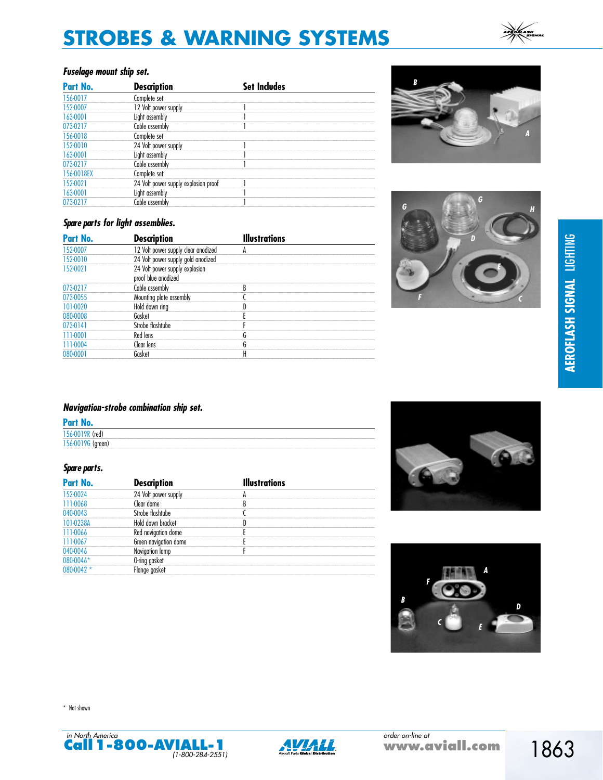# **Fuselage mount ship set.**

| Part No. | <b>Description</b>                | Set Includes |
|----------|-----------------------------------|--------------|
|          | ilete set                         |              |
|          | 12 Volt power supply              |              |
|          | assembly                          |              |
|          | hle assembli                      |              |
|          |                                   |              |
|          | 24 Volt power supply              |              |
|          |                                   |              |
|          | nhle assembly                     |              |
| 11.RF.Y  | set                               |              |
|          | Volt power supply explosion proof |              |
|          |                                   |              |
|          |                                   |              |

# **Spare parts for light assemblies.**

| Part No. | <b>Description</b>                                    | llustrations |  |
|----------|-------------------------------------------------------|--------------|--|
|          | 12 Volt power supply clear anodized                   |              |  |
|          | 24 Volt power supply gold anodized                    |              |  |
| 152-0021 | 24 Volt power supply explosion<br>proof blue anodized |              |  |
|          | Cable assembly                                        |              |  |
|          | Mounting plate assembly                               |              |  |
|          | Hold down ring                                        |              |  |
|          |                                                       |              |  |
|          | he tinshtuhe                                          |              |  |
|          | lens                                                  |              |  |
|          | lear lens                                             |              |  |
|          |                                                       |              |  |





# **Navigation-strobe combination ship set.**

| Part No.                    |  |
|-----------------------------|--|
| $(\text{red})$<br>156-0019R |  |
| 156-00196<br>(green)        |  |

# **Spare parts.**

| Par | escription) | tions |
|-----|-------------|-------|
|     |             |       |
|     |             |       |
|     |             |       |
|     |             |       |
|     |             |       |
|     |             |       |
|     |             |       |
|     |             |       |
|     |             |       |



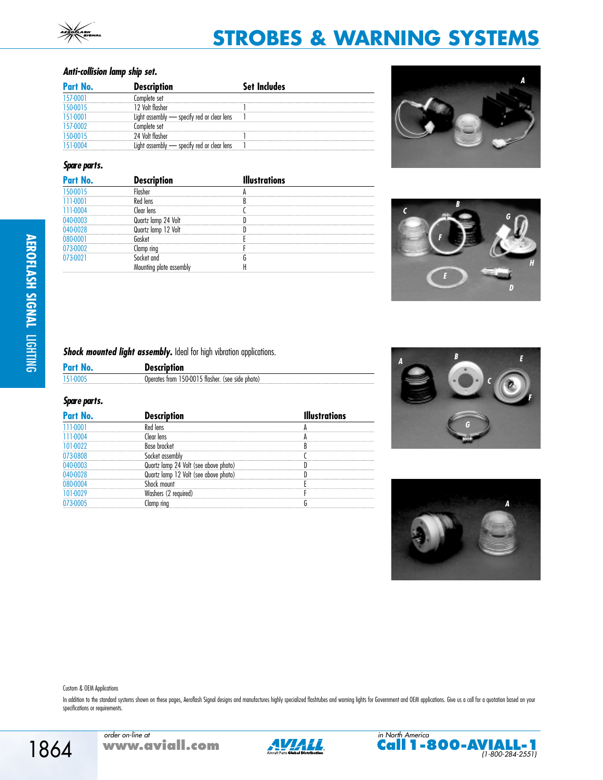# **Anti-collision lamp ship set.**

| Part No. | <b>Description</b>        | ıcludes |
|----------|---------------------------|---------|
|          | Complete set              |         |
|          |                           |         |
|          | specify red or clear lens |         |
|          | complete set              |         |
|          | Volt flasher              |         |
|          | specify red or clear lens |         |

# **Spare parts.**

| Part No. |         | tions. |
|----------|---------|--------|
|          |         |        |
|          |         |        |
|          | len     |        |
|          |         |        |
|          | Volt    |        |
|          |         |        |
|          | 1D rinc |        |
|          |         |        |
|          |         |        |

**Shock mounted light assembly.** Ideal for high vibration applications.

| Pa | <b>Description</b>                                          |
|----|-------------------------------------------------------------|
|    | ، 150-0015 tlasher.<br>(see side<br>Unerates trom<br>photo. |
|    |                                                             |

#### **Spare parts.**

| Part No. | <b>'escription</b> | <b>strations</b> |
|----------|--------------------|------------------|
|          |                    |                  |
|          |                    |                  |
|          |                    |                  |
|          |                    |                  |
|          | udove di           |                  |
|          | upove ni-          |                  |
|          |                    |                  |
|          |                    |                  |
|          |                    |                  |









Custom & OEM Applications

In addition to the standard systems shown on these pages, Aeroflash Signal designs and manufactures highly specialized flashtubes and warning lights for Government and OEM applications. Give us a call for a quotation based specifications or requirements.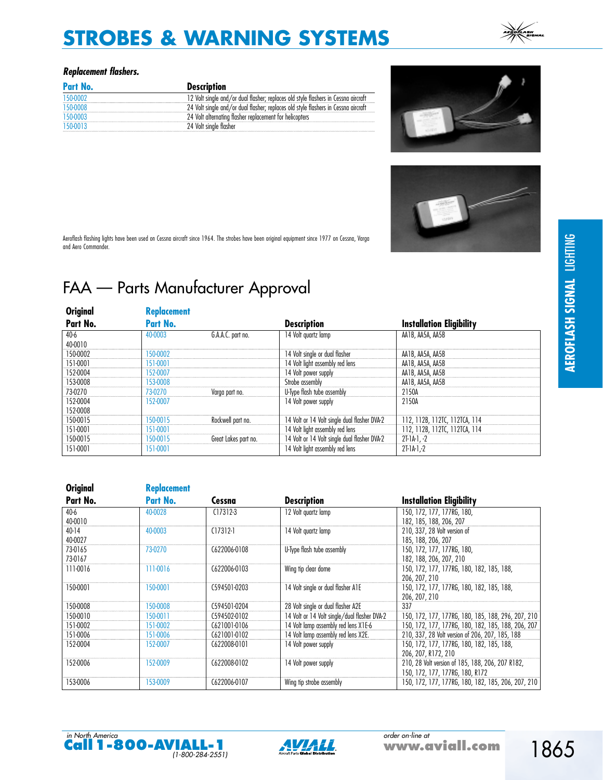# **Replacement flashers.**

| Part No. | <b>Description</b>                                                                 |
|----------|------------------------------------------------------------------------------------|
|          | 12 Volt single and/or dual flasher; replaces old style flashers in Cessna aircraft |
|          | 24 Volt single and/or dual flasher: replaces old style flashers in Cessna aircraft |
|          | 24 Volt alternating flasher replacement for helicopters                            |
|          | 24 Volt single flasher                                                             |





Aeroflash flashing lights have been used on Cessna aircraft since 1964. The strobes have been original equipment since 1977 on Cessna, Varga and Aero Commander.

# FAA — Parts Manufacturer Approval

| Original | <b>Replacement</b> |                      |                                              |                                 |
|----------|--------------------|----------------------|----------------------------------------------|---------------------------------|
| Part No. | Part No.           |                      | <b>Description</b>                           | <b>Installation Eligibility</b> |
| 40-6     | 40-0003            | G.A.A.C. part no.    | 14 Volt quartz lamp                          | AA1B, AA5A, AA5B                |
| 40-0010  |                    |                      |                                              |                                 |
| 150-0002 | 150-0002           |                      | 14 Volt single or dual flasher               | AA1B, AA5A, AA5B                |
| 151-0001 | 151-0001           |                      | 14 Volt light assembly red lens              | AA1B, AA5A, AA5B                |
| 152-0004 | 152-0007           |                      | 14 Volt power supply                         | AA1B, AA5A, AA5B                |
| 153-0008 | 153-0008           |                      | Strobe assembly                              | AA1B, AA5A, AA5B                |
| 73-0270  | 73-0270            | Varga part no.       | U-Type flash tube assembly                   | 2150A                           |
| 152-0004 | 152-0007           |                      | 14 Volt power supply                         | 2150A                           |
| 152-0008 |                    |                      |                                              |                                 |
| 150-0015 | 150-0015           | Rockwell part no.    | 14 Volt or 14 Volt single dual flasher DVA-2 | 112, 112B, 112TC, 112TCA, 114   |
| 151-0001 | 151-0001           |                      | 14 Volt light assembly red lens              | 112, 112B, 112TC, 112TCA, 114   |
| 150-0015 | 150-0015           | Great Lakes part no. | 14 Volt or 14 Volt single dual flasher DVA-2 | $2I-1A-1. -2$                   |
| 151-0001 | 151-0001           |                      | 14 Volt light assembly red lens              | $2I-1A-1-2$                     |

| <b>Original</b> | <b>Replacement</b> |              |                                              |                                                    |
|-----------------|--------------------|--------------|----------------------------------------------|----------------------------------------------------|
| Part No.        | Part No.           | Cessna       | <b>Description</b>                           | <b>Installation Eligibility</b>                    |
| 40-6            | 40-0028            | $C17312-3$   | 12 Volt quartz lamp                          | 150, 172, 177, 177RG, 180,                         |
| 40-0010         |                    |              |                                              | 182, 185, 188, 206, 207                            |
| $40 - 14$       | 40-0003            | $(17312-1)$  | 14 Volt quartz lamp                          | 210, 337, 28 Volt version of                       |
| 40-0027         |                    |              |                                              | 185, 188, 206, 207                                 |
| 73-0165         | 73-0270            | C622006-0108 | U-Type flash tube assembly                   | 150, 172, 177, 177RG, 180,                         |
| 73-0167         |                    |              |                                              | 182, 188, 206, 207, 210                            |
| 111-0016        | 111-0016           | C622006-0103 | Wing tip clear dome                          | 150, 172, 177, 177RG, 180, 182, 185, 188,          |
|                 |                    |              |                                              | 206, 207, 210                                      |
| 150-0001        | 150-0001           | C594501-0203 | 14 Volt single or dual flasher A1E           | 150, 172, 177, 177RG, 180, 182, 185, 188,          |
|                 |                    |              |                                              | 206, 207, 210                                      |
| 150-0008        | 150-0008           | C594501-0204 | 28 Volt single or dual flasher A2E           | 337                                                |
| 150-0010        | 150-0011           | C594502-0102 | 14 Volt or 14 Volt single/dual flasher DVA-2 | 150, 172, 177, 177RG, 180, 185, 188, 296, 207, 210 |
| 151-0002        | 151-0002           | C621001-0106 | 14 Volt lamp assembly red lens X1E-6         | 150, 172, 177, 177RG, 180, 182, 185, 188, 206, 207 |
| 151-0006        | 151-0006           | C621001-0102 | 14 Volt lamp assembly red lens X2E.          | 210, 337, 28 Volt version of 206, 207, 185, 188    |
| 152-0004        | 152-0007           | C622008-0101 | 14 Volt power supply                         | 150, 172, 177, 177RG, 180, 182, 185, 188,          |
|                 |                    |              |                                              | 206, 207, R172, 210                                |
| 152-0006        | 152-0009           | C622008-0102 | 14 Volt power supply                         | 210, 28 Volt version of 185, 188, 206, 207 R182,   |
|                 |                    |              |                                              | 150, 172, 177, 177RG, 180, R172                    |
| 153-0006        | 153-0009           | C622006-0107 | Wing tip strobe assembly                     | 150, 172, 177, 177RG, 180, 182, 185, 206, 207, 210 |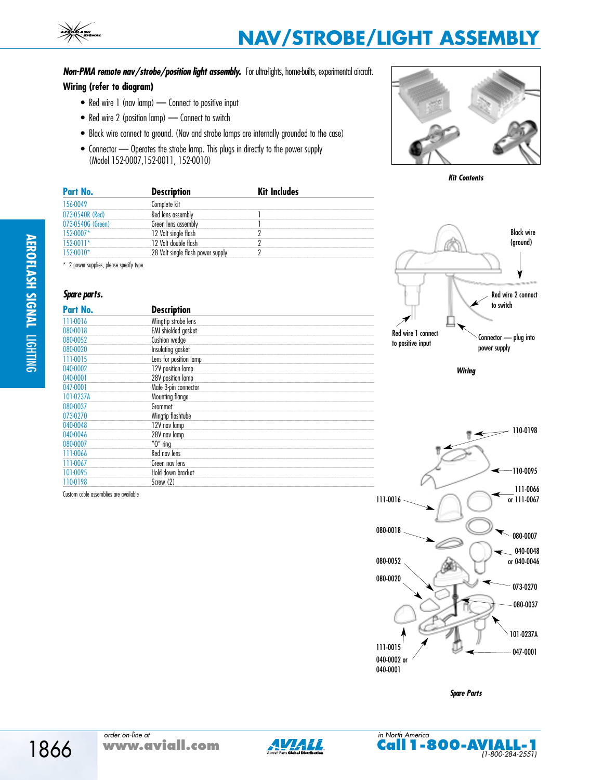Non-PMA remote nav/strobe/position light assembly. For ultra-lights, home-builts, experimental aircraft.

#### **Wiring (refer to diagram)**

- Red wire 1 (nav lamp) Connect to positive input
- Red wire 2 (position lamp) Connect to switch
- Black wire connect to ground. (Nav and strobe lamps are internally grounded to the case)
- Connector Operates the strobe lamp. This plugs in directly to the power supply (Model 152-0007,152-0011, 152-0010)





| Part N                              | Description         | Includes |  |
|-------------------------------------|---------------------|----------|--|
| 156-0049                            | omplete kit.        |          |  |
| 073-0540R                           | lens                |          |  |
| 073-0540                            | areen lens assembly |          |  |
|                                     |                     |          |  |
| ----------------------------------- |                     |          |  |
|                                     |                     |          |  |
|                                     |                     |          |  |

\* 2 power supplies, please specify type

#### **Spare parts.**

| Part No.  | <b>Description</b>         |  |
|-----------|----------------------------|--|
| 111-0016  | Wingtip strobe lens        |  |
| 080-0018  | <b>EMI</b> shielded gasket |  |
| 080-0052  | Cushion wedge              |  |
| 080-0020  | Insulating gasket          |  |
| 111-0015  | Lens for position lamp     |  |
| 040-0002  | 12V position lamp          |  |
| 040-0001  | 28V position lamp          |  |
| 047-0001  | Male 3-pin connector       |  |
| 101-0237A | Mounting flange            |  |
| 080-0037  | Grommet                    |  |
| 073-0270  | Wingtip flashtube          |  |
| 040-0048  | 12V nav lamp               |  |
| 040-0046  | 28V nav lamp               |  |
| 080-0007  | $"0"$ ring                 |  |
| 111-0066  | Red nav lens               |  |
| 111-0067  | Green nav lens             |  |
| 101-0095  | Hold down bracket          |  |
| 110-0198  | Screw (2)                  |  |

Custom cable assemblies are available



**Wiring**

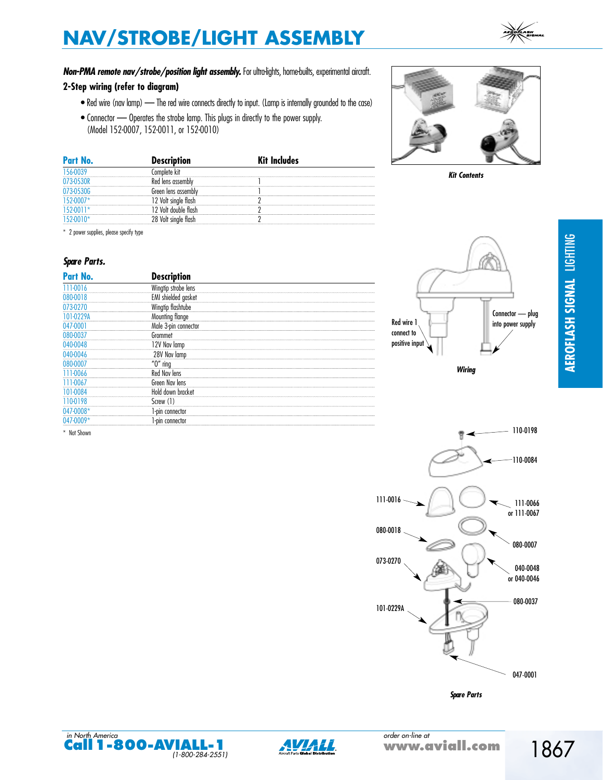# Non-PMA remote nav/strobe/position light assembly. For ultra-lights, home-builts, experimental aircraft.

#### **2-Step wiring (refer to diagram)**

- Red wire (nav lamp) The red wire connects directly to input. (Lamp is internally grounded to the case)
- Connector Operates the strobe lamp. This plugs in directly to the power supply. (Model 152-0007, 152-0011, or 152-0010)

| Part No. | <b>Description</b>         | Kit Includes |  |
|----------|----------------------------|--------------|--|
|          | hlete                      |              |  |
|          | <sup>1</sup> lens assembly |              |  |
|          | areen lens assembly        |              |  |
|          |                            |              |  |
|          |                            |              |  |
|          |                            |              |  |

\* 2 power supplies, please specify type

#### **Spare Parts.**

| Part No.                               | <b>Description</b>   |  |
|----------------------------------------|----------------------|--|
| 111-0016<br>-------------------------- | Wingtip strobe lens  |  |
| 080-0018                               | EMI shielded gasket  |  |
| 073-0270                               | Wingtip flashtube    |  |
| 101-0229A                              | Mounting flange      |  |
| 047-0001                               | Male 3-pin connector |  |
| 080-0037                               | Grommet              |  |
| 040-0048                               | 12V Nav lamp         |  |
| 040-0046                               | 28V Nav lamp         |  |
| 080-0007                               | $"0"$ ring           |  |
| 111-0066                               | Red Nav lens         |  |
| 111-0067                               | Green Nav lens       |  |
| 01-0084                                | Hold down bracket    |  |
| 110-0198                               | Screw (1)            |  |
| 047-0008*                              | 1-pin connector      |  |
| $(147 - 0009)$                         | -pin connector       |  |

\* Not Shown



**Kit Contents**







**Spare Parts**